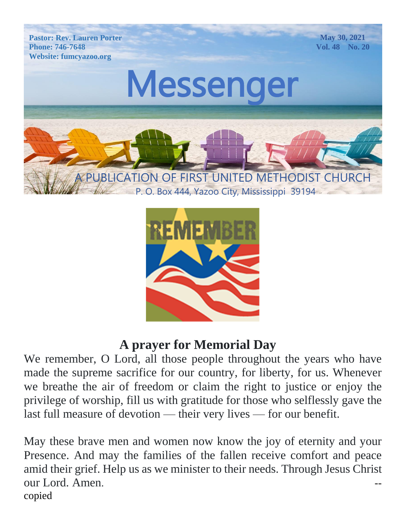



#### **A prayer for Memorial Day**

We remember, O Lord, all those people throughout the years who have made the supreme sacrifice for our country, for liberty, for us. Whenever we breathe the air of freedom or claim the right to justice or enjoy the privilege of worship, fill us with gratitude for those who selflessly gave the last full measure of devotion — their very lives — for our benefit.

May these brave men and women now know the joy of eternity and your Presence. And may the families of the fallen receive comfort and peace amid their grief. Help us as we minister to their needs. Through Jesus Christ our Lord. Amen. copied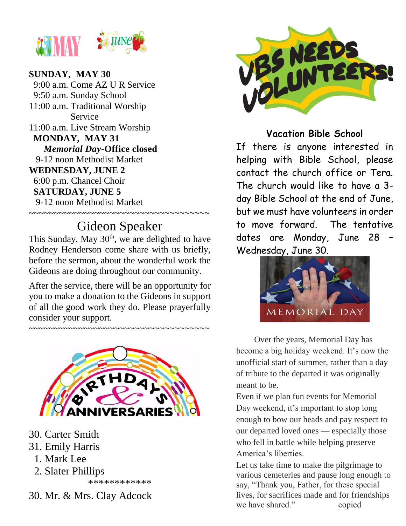

#### $\sim$  ( $\sim$ 74) $\sim$ **SUNDAY, MAY 30**

**WEDNESDAY, JUNE 2**  $\begin{array}{c}\n 7.60 \\
\end{array}$  $6:00$  p.m. Chancel Choir MONDAY, MAY 31 *Memorial Day*-Office closed<br>9-12 noon Methodist Market 9:00 a.m. Come AZ U R Service 9:50 a.m. Sunday School 11:00 a.m. Traditional Worship Service 11:00 a.m. Live Stream Worship  *Memorial Day-***Office closed SATURDAY, JUNE 5** 9-12 noon Methodist Market ~~~~~~~~~~~~~~~~~~~~~~~~~~~~~~~~~~~

### Gideon Speaker

This Sunday, May 30<sup>th</sup>, we are delighted to have Rodney Henderson come share with us briefly, before the sermon, about the wonderful work the Gideons are doing throughout our community.

After the service, there will be an opportunity for you to make a donation to the Gideons in support of all the good work they do. Please prayerfully consider your support.

~~~~~~~~~~~~~~~~~~~~~~~~~~~~~~~~~~~~



- 30. Carter Smith
- 31. Emily Harris
	- 1. Mark Lee
	- 2. Slater Phillips

\*\*\*\*\*\*\*\*\*\*\*\*

30. Mr. & Mrs. Clay Adcock



#### **Vacation Bible School**

22 contact the church office or Tera. The church would like to have a 3-If there is anyone interested in helping with Bible School, please day Bible School at the end of June, but we must have volunteers in order to move forward. The tentative dates are Monday, June 28 – Wednesday, June 30.



 Over the years, Memorial Day has become a big holiday weekend. It's now the unofficial start of summer, rather than a day of tribute to the departed it was originally meant to be.

Even if we plan fun events for Memorial Day weekend, it's important to stop long enough to bow our heads and pay respect to our departed loved ones — especially those who fell in battle while helping preserve America's liberties.

Let us take time to make the pilgrimage to various cemeteries and pause long enough to say, "Thank you, Father, for these special lives, for sacrifices made and for friendships we have shared." copied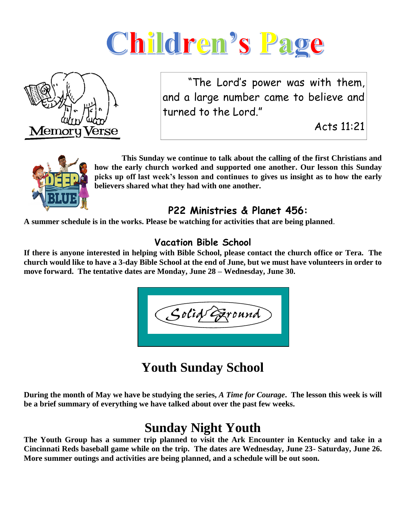



 "The Lord's power was with them, and a large number came to believe and turned to the Lord."

Acts 11:21



 **This Sunday we continue to talk about the calling of the first Christians and how the early church worked and supported one another. Our lesson this Sunday picks up off last week's lesson and continues to gives us insight as to how the early believers shared what they had with one another.** 

#### **P22 Ministries & Planet 456:**

**A summer schedule is in the works. Please be watching for activities that are being planned**.

#### **Vacation Bible School**

**If there is anyone interested in helping with Bible School, please contact the church office or Tera. The church would like to have a 3-day Bible School at the end of June, but we must have volunteers in order to move forward. The tentative dates are Monday, June 28 – Wednesday, June 30.**

 $SolidG$ zroune

### **Youth Sunday School**

**During the month of May we have be studying the series,** *A Time for Courage***. The lesson this week is will be a brief summary of everything we have talked about over the past few weeks.**

### **Sunday Night Youth**

**The Youth Group has a summer trip planned to visit the Ark Encounter in Kentucky and take in a Cincinnati Reds baseball game while on the trip. The dates are Wednesday, June 23- Saturday, June 26. More summer outings and activities are being planned, and a schedule will be out soon.**